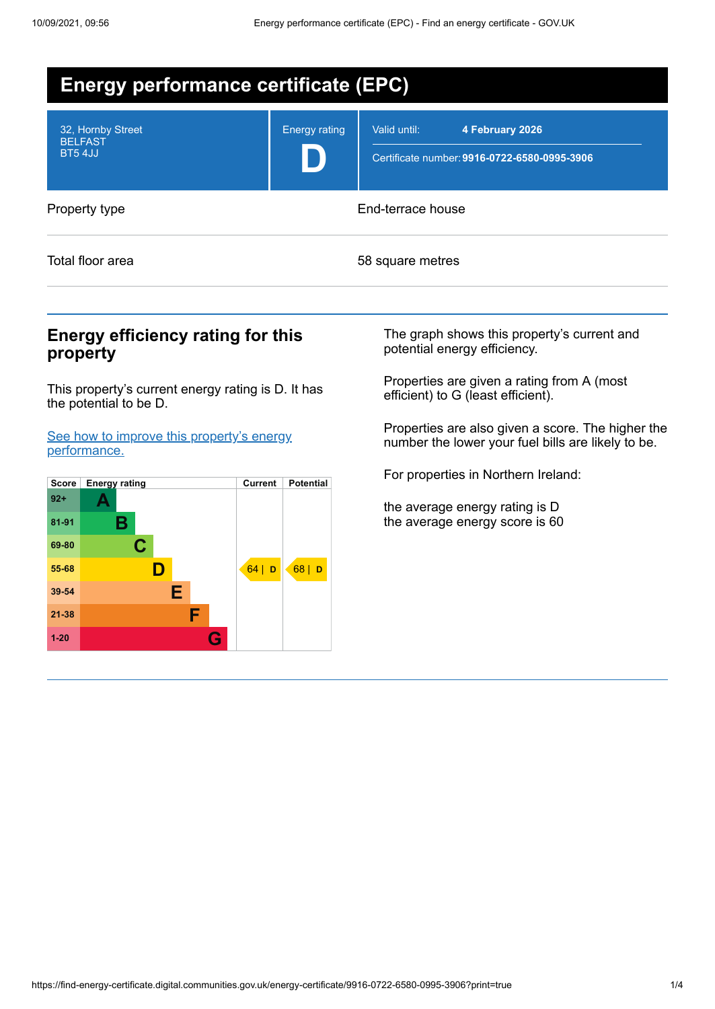

## **Energy efficiency rating for this property**

This property's current energy rating is D. It has the potential to be D.

See how to improve this property's energy [performance.](#page-2-0)



The graph shows this property's current and potential energy efficiency.

Properties are given a rating from A (most efficient) to G (least efficient).

Properties are also given a score. The higher the number the lower your fuel bills are likely to be.

For properties in Northern Ireland:

the average energy rating is D the average energy score is 60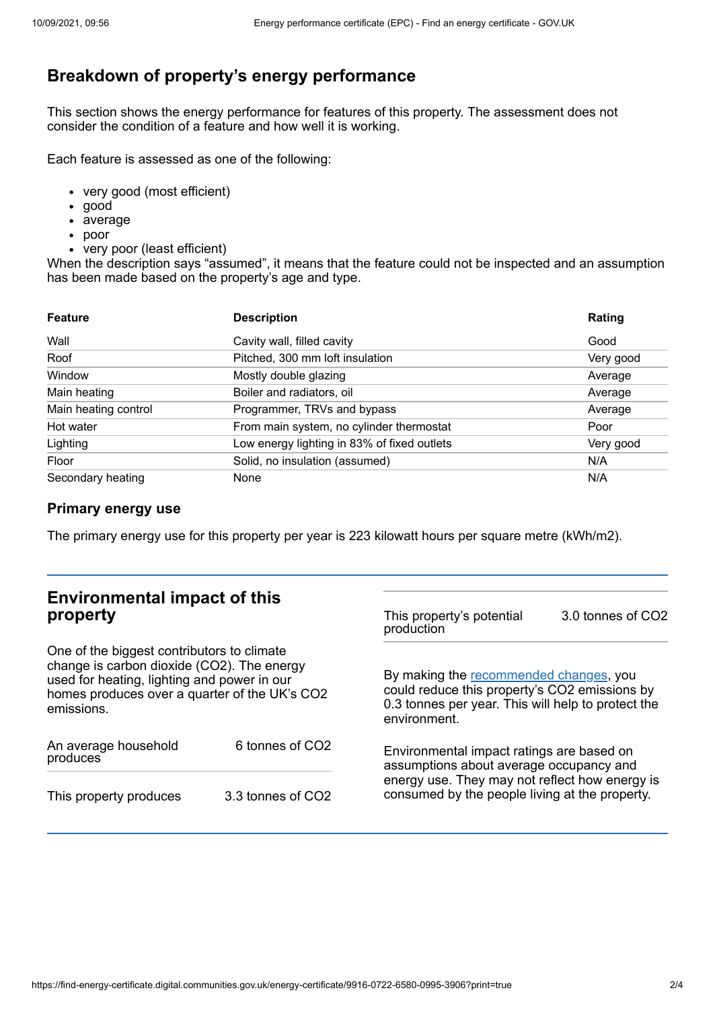# **Breakdown of property's energy performance**

This section shows the energy performance for features of this property. The assessment does not consider the condition of a feature and how well it is working.

Each feature is assessed as one of the following:

- very good (most efficient)
- good
- average
- poor
- very poor (least efficient)

When the description says "assumed", it means that the feature could not be inspected and an assumption has been made based on the property's age and type.

| <b>Feature</b>       | <b>Description</b>                          | Rating    |
|----------------------|---------------------------------------------|-----------|
| Wall                 | Cavity wall, filled cavity                  | Good      |
| Roof                 | Pitched, 300 mm loft insulation             | Very good |
| Window               | Mostly double glazing                       | Average   |
| Main heating         | Boiler and radiators, oil                   | Average   |
| Main heating control | Programmer, TRVs and bypass                 | Average   |
| Hot water            | From main system, no cylinder thermostat    | Poor      |
| Lighting             | Low energy lighting in 83% of fixed outlets | Very good |
| Floor                | Solid, no insulation (assumed)              | N/A       |
| Secondary heating    | None                                        | N/A       |

### **Primary energy use**

The primary energy use for this property per year is 223 kilowatt hours per square metre (kWh/m2).

| <b>Environmental impact of this</b><br>property                                                                                                                                                        |                   | This property's potential<br>production                                                                                                                                                  | 3.0 tonnes of CO2 |
|--------------------------------------------------------------------------------------------------------------------------------------------------------------------------------------------------------|-------------------|------------------------------------------------------------------------------------------------------------------------------------------------------------------------------------------|-------------------|
| One of the biggest contributors to climate<br>change is carbon dioxide (CO2). The energy<br>used for heating, lighting and power in our<br>homes produces over a quarter of the UK's CO2<br>emissions. |                   | By making the recommended changes, you<br>could reduce this property's CO2 emissions by<br>0.3 tonnes per year. This will help to protect the<br>environment.                            |                   |
| An average household<br>produces                                                                                                                                                                       | 6 tonnes of CO2   | Environmental impact ratings are based on<br>assumptions about average occupancy and<br>energy use. They may not reflect how energy is<br>consumed by the people living at the property. |                   |
| This property produces                                                                                                                                                                                 | 3.3 tonnes of CO2 |                                                                                                                                                                                          |                   |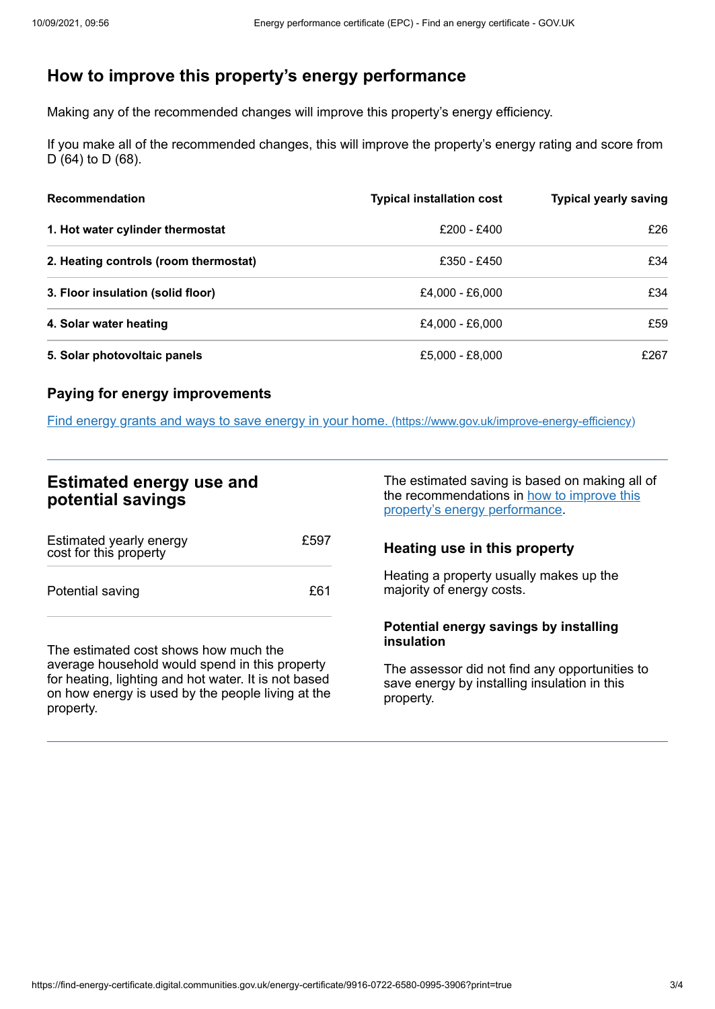# <span id="page-2-0"></span>**How to improve this property's energy performance**

Making any of the recommended changes will improve this property's energy efficiency.

If you make all of the recommended changes, this will improve the property's energy rating and score from D (64) to D (68).

| <b>Recommendation</b>                 | <b>Typical installation cost</b> | <b>Typical yearly saving</b> |
|---------------------------------------|----------------------------------|------------------------------|
| 1. Hot water cylinder thermostat      | £200 - £400                      | £26                          |
| 2. Heating controls (room thermostat) | £350 - £450                      | £34                          |
| 3. Floor insulation (solid floor)     | £4,000 - £6,000                  | £34                          |
| 4. Solar water heating                | £4,000 - £6,000                  | £59                          |
| 5. Solar photovoltaic panels          | £5,000 - £8,000                  | £267                         |

### **Paying for energy improvements**

Find energy grants and ways to save energy in your home. [\(https://www.gov.uk/improve-energy-efficiency\)](https://www.gov.uk/improve-energy-efficiency)

## **Estimated energy use and potential savings**

| Estimated yearly energy<br>cost for this property | £597 |
|---------------------------------------------------|------|
| Potential saving                                  | £61  |

The estimated cost shows how much the average household would spend in this property for heating, lighting and hot water. It is not based on how energy is used by the people living at the property.

The estimated saving is based on making all of the [recommendations](#page-2-0) in how to improve this property's energy performance.

## **Heating use in this property**

Heating a property usually makes up the majority of energy costs.

#### **Potential energy savings by installing insulation**

The assessor did not find any opportunities to save energy by installing insulation in this property.